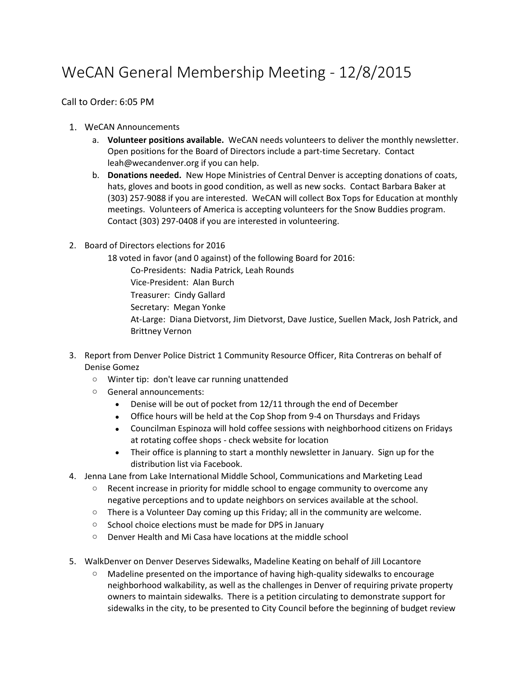## WeCAN General Membership Meeting - 12/8/2015

Call to Order: 6:05 PM

- 1. WeCAN Announcements
	- a. **Volunteer positions available.** WeCAN needs volunteers to deliver the monthly newsletter. Open positions for the Board of Directors include a part-time Secretary. Contact leah@wecandenver.org if you can help.
	- b. **Donations needed.** New Hope Ministries of Central Denver is accepting donations of coats, hats, gloves and boots in good condition, as well as new socks. Contact Barbara Baker at (303) 257-9088 if you are interested.WeCAN will collect Box Tops for Education at monthly meetings. Volunteers of America is accepting volunteers for the Snow Buddies program. Contact (303) 297-0408 if you are interested in volunteering.
- 2. Board of Directors elections for 2016

18 voted in favor (and 0 against) of the following Board for 2016: Co-Presidents: Nadia Patrick, Leah Rounds

Vice-President: Alan Burch

Treasurer: Cindy Gallard

Secretary: Megan Yonke

At-Large: Diana Dietvorst, Jim Dietvorst, Dave Justice, Suellen Mack, Josh Patrick, and Brittney Vernon

- 3. Report from Denver Police District 1 Community Resource Officer, Rita Contreras on behalf of Denise Gomez
	- o Winter tip: don't leave car running unattended
	- o General announcements:
		- Denise will be out of pocket from 12/11 through the end of December
		- Office hours will be held at the Cop Shop from 9-4 on Thursdays and Fridays
		- Councilman Espinoza will hold coffee sessions with neighborhood citizens on Fridays at rotating coffee shops - check website for location
		- Their office is planning to start a monthly newsletter in January. Sign up for the distribution list via Facebook.
- 4. Jenna Lane from Lake International Middle School, Communications and Marketing Lead
	- $\circ$  Recent increase in priority for middle school to engage community to overcome any negative perceptions and to update neighbors on services available at the school.
	- $\circ$  There is a Volunteer Day coming up this Friday; all in the community are welcome.
	- o School choice elections must be made for DPS in January
	- o Denver Health and Mi Casa have locations at the middle school
- 5. WalkDenver on Denver Deserves Sidewalks, Madeline Keating on behalf of Jill Locantore
	- $\circ$  Madeline presented on the importance of having high-quality sidewalks to encourage neighborhood walkability, as well as the challenges in Denver of requiring private property owners to maintain sidewalks. There is a petition circulating to demonstrate support for sidewalks in the city, to be presented to City Council before the beginning of budget review